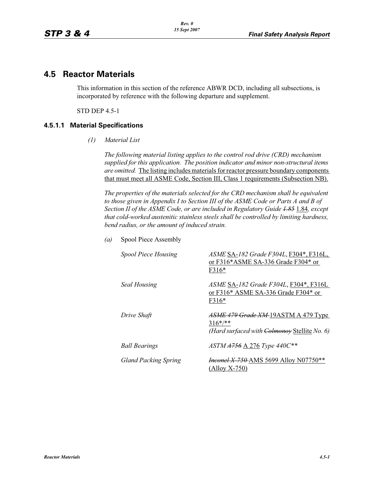# **4.5 Reactor Materials**

This information in this section of the reference ABWR DCD, including all subsections, is incorporated by reference with the following departure and supplement.

STD DEP 4.5-1

### **4.5.1.1 Material Specifications**

*(1) Material List*

*The following material listing applies to the control rod drive (CRD) mechanism supplied for this application. The position indicator and minor non-structural items are omitted.* The listing includes materials for reactor pressure boundary components that must meet all ASME Code, Section III, Class 1 requirements (Subsection NB).

*The properties of the materials selected for the CRD mechanism shall be equivalent*  to those given in Appendix I to Section III of the ASME Code or Parts A and B of *Section II of the ASME Code, or are included in Regulatory Guide 1.85* 1.84*, except that cold-worked austenitic stainless steels shall be controlled by limiting hardness, bend radius, or the amount of induced strain.*

| <b>Spool Piece Housing</b>  | ASME SA-182 Grade F304L, F304*, F316L,<br>or F316*ASME SA-336 Grade F304* or<br>F316*               |
|-----------------------------|-----------------------------------------------------------------------------------------------------|
| <b>Seal Housing</b>         | <i>ASME SA-182 Grade F304L</i> , F304*, F316L<br>or $F316*$ ASME SA-336 Grade $F304*$ or<br>F316*   |
| Drive Shaft                 | ASME 479 Grade XM-19ASTM A 479 Type<br>$316^{*/**}$<br>(Hard surfaced with Colmonoy Stellite No. 6) |
| <b>Ball Bearings</b>        | ASTM A756 A 276 Type 440C**                                                                         |
| <b>Gland Packing Spring</b> | <i>Hneonel X-750-AMS</i> 5699 Alloy N07750**<br>$(Alloy X-750)$                                     |

*(a)* Spool Piece Assembly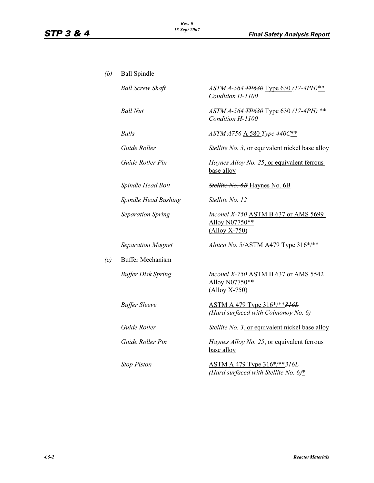| (b) | <b>Ball Spindle</b>       |                                                                                      |
|-----|---------------------------|--------------------------------------------------------------------------------------|
|     | <b>Ball Screw Shaft</b>   | ASTM A-564 TP630 Type 630 (17-4PH)**<br>Condition H-1100                             |
|     | <b>Ball Nut</b>           | ASTM A-564 TP630 Type 630 (17-4PH) **<br>Condition H-1100                            |
|     | <b>Balls</b>              | ASTM A756 A 580 Type 440C**                                                          |
|     | Guide Roller              | Stellite No. 3, or equivalent nickel base alloy                                      |
|     | Guide Roller Pin          | Haynes Alloy No. 25, or equivalent ferrous<br>base alloy                             |
|     | Spindle Head Bolt         | Stellite No. 6B Haynes No. 6B                                                        |
|     | Spindle Head Bushing      | Stellite No. 12                                                                      |
|     | <b>Separation Spring</b>  | <b>Hnconel X-750 ASTM B 637 or AMS 5699</b><br>Alloy N07750**<br>$($ Alloy X-750 $)$ |
|     | <b>Separation Magnet</b>  | Alnico No. 5/ASTM A479 Type 316*/**                                                  |
| (c) | <b>Buffer Mechanism</b>   |                                                                                      |
|     | <b>Buffer Disk Spring</b> | <b>Hnconel X-750-ASTM B 637 or AMS 5542</b><br>Alloy N07750**<br>$($ Alloy X-750 $)$ |
|     | <b>Buffer Sleeve</b>      | ASTM A 479 Type 316*/**316L<br>(Hard surfaced with Colmonoy No. 6)                   |
|     | Guide Roller              | Stellite No. 3, or equivalent nickel base alloy                                      |
|     | Guide Roller Pin          | Haynes Alloy No. 25, or equivalent ferrous<br>base alloy                             |
|     | <b>Stop Piston</b>        | ASTM A 479 Type 316*/**316L<br>(Hard surfaced with Stellite No. $6$ )*               |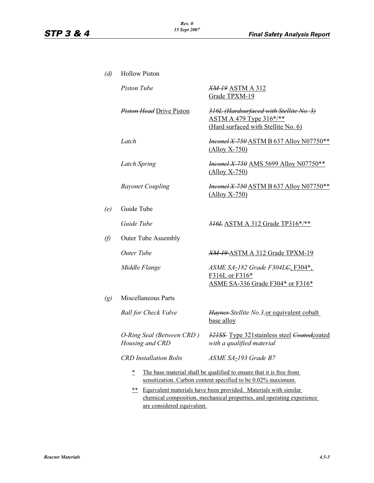| (d)                                                                   | <b>Hollow Piston</b>                                                                   |                                                                                                                  |  |
|-----------------------------------------------------------------------|----------------------------------------------------------------------------------------|------------------------------------------------------------------------------------------------------------------|--|
|                                                                       | <b>Piston Tube</b>                                                                     | <b>XM-19 ASTM A 312</b><br>Grade TPXM-19                                                                         |  |
|                                                                       | <b>Piston Head Drive Piston</b>                                                        | 316L (Hardsurfaced with Stellite No. 3)<br><b>ASTM A 479 Type 316*/**</b><br>(Hard surfaced with Stellite No. 6) |  |
|                                                                       | Latch                                                                                  | <i>Hnconel X-750</i> ASTM B 637 Alloy N07750**<br>$(Alloy X-750)$                                                |  |
|                                                                       | Latch Spring                                                                           | <i>Hneonel X-750</i> AMS 5699 Alloy N07750**<br>$($ Alloy X-750 $)$                                              |  |
|                                                                       | <b>Bayonet Coupling</b>                                                                | <i>Hneonel X-750</i> ASTM B 637 Alloy N07750**<br>$(Alloy X-750)$                                                |  |
| (e)                                                                   | Guide Tube                                                                             |                                                                                                                  |  |
|                                                                       | Guide Tube                                                                             | 316L ASTM A 312 Grade TP316*/**                                                                                  |  |
| $\theta$                                                              | <b>Outer Tube Assembly</b>                                                             |                                                                                                                  |  |
|                                                                       | Outer Tube                                                                             | <b>XM-19 ASTM A 312 Grade TPXM-19</b>                                                                            |  |
|                                                                       | Middle Flange                                                                          | ASME SA-182 Grade F304L <del>C</del> , F304*,<br>F316L or F316*<br>ASME SA-336 Grade F304* or F316*              |  |
| $\left( g\right)$                                                     | <b>Miscellaneous Parts</b>                                                             |                                                                                                                  |  |
|                                                                       | <b>Ball for Check Valve</b>                                                            | Haynes Stellite No.3, or equivalent cobalt<br>base alloy                                                         |  |
|                                                                       | O-Ring Seal (Between CRD)<br>Housing and CRD                                           | 321SS Type 321 stainless steel <i>Coated</i> coated<br>with a qualified material                                 |  |
|                                                                       | <b>CRD</b> Installation Bolts                                                          | ASME SA-193 Grade B7                                                                                             |  |
|                                                                       | $\overline{\ }$<br>The base material shall be qualified to ensure that it is free from |                                                                                                                  |  |
|                                                                       | sensitization. Carbon content specified to be 0.02% maximum.                           |                                                                                                                  |  |
| Equivalent materials have been provided. Materials with similar<br>** |                                                                                        |                                                                                                                  |  |
|                                                                       | chemical composition, mechanical properties, and operating experience                  |                                                                                                                  |  |

are considered equivalent.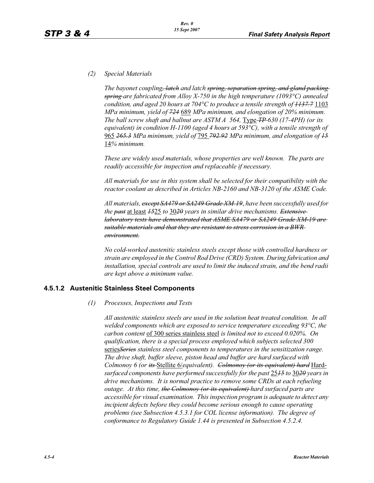# *(2) Special Materials*

*The bayonet coupling, latch and latch spring, separation spring, and gland packing spring are fabricated from Alloy X-750 in the high temperature (1093°C) annealed condition, and aged 20 hours at 704°C to produce a tensile strength of 1137.7* 1103 *MPa minimum, yield of 724* 689 *MPa minimum, and elongation of 20% minimum. The ball screw shaft and ballnut are ASTM A 564, <u>Type-<i>TP*</u>-630 (17-4PH) (or its *equivalent) in condition H-1100 (aged 4 hours at 593°C), with a tensile strength of* 965 *265.3 MPa minimum, yield of* 795 *792.92 MPa minimum, and elongation of 15* 14*% minimum.*

*These are widely used materials, whose properties are well known. The parts are readily accessible for inspection and replaceable if necessary.*

*All materials for use in this system shall be selected for their compatibility with the reactor coolant as described in Articles NB-2160 and NB-3120 of the ASME Code.*

*All materials, except SA479 or SA249 Grade XM-19*, *have been successfully used for the past* at least *15*25 *to* 30*20 years in similar drive mechanisms. Extensive laboratory tests have demonstrated that ASME SA479 or SA249 Grade XM-19 are suitable materials and that they are resistant to stress corrosion in a BWR environment.*

*No cold-worked austenitic stainless steels except those with controlled hardness or strain are employed in the Control Rod Drive (CRD) System. During fabrication and installation, special controls are used to limit the induced strain, and the bend radii are kept above a minimum value.*

### **4.5.1.2 Austenitic Stainless Steel Components**

*(1) Processes, Inspections and Tests*

*All austenitic stainless steels are used in the solution heat treated condition. In all welded components which are exposed to service temperature exceeding 93°C, the carbon content* of 300 series stainless steel *is limited not to exceed 0.020%. On qualification, there is a special process employed which subjects selected 300* series*Series stainless steel components to temperatures in the sensitization range. The drive shaft, buffer sleeve, piston head and buffer are hard surfaced with Colmonoy 6 (or its* Stellite 6/*equivalent). Colmonoy (or its equivalent) hard* Hard*surfaced components have performed successfully for the past* 25*15 to* 30*20 years in drive mechanisms. It is normal practice to remove some CRDs at each refueling outage. At this time, the Colmonoy (or its equivalent) hard surfaced parts are accessible for visual examination. This inspection program is adequate to detect any incipient defects before they could become serious enough to cause operating problems (see Subsection 4.5.3.1 for COL license information). The degree of conformance to Regulatory Guide 1.44 is presented in Subsection 4.5.2.4.*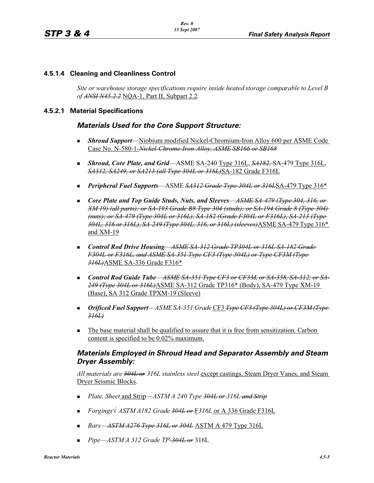### **4.5.1.4 Cleaning and Cleanliness Control**

*Site or warehouse storage specifications require inside heated storage comparable to Level B of ANSI N45.2.2* NQA-1, Part II, Subpart 2.2.

### **4.5.2.1 Material Specifications**

# *Materials Used for the Core Support Structure:*

- - *Shroud Support*—Niobium modified Nickel-Chromium-Iron Alloy 600 per ASME Code Case No. N-580-1-*Nickel-Chrome-Iron-Alloy, ASME SB166 or SB168*
- *Shroud, Core Plate, and Grid*—ASME SA-240 Type 316L, *SA182,* SA-479 Type 316L, *SA312, SA249, or SA213 (all Type 304L or 316L)*SA-182 Grade F316L
- *Peripheral Fuel Supports*—ASME *SA312 Grade Type-304L or 316L*SA-479 Type 316\*
- Core Plate and Top Guide Studs, Nuts, and Sleeves—<del>ASME SA-479 (Type 304, 316, or</del> *XM 19) (all parts); or SA-193 Grade B8 Type 304 (studs); or SA-194 Grade 8 (Type 304) (nuts); or SA-479 (Type 304L or 316L), SA-182 (Grade F304L or F316L), SA-213 (Type 304L, 316 or 316L), SA-249 (Type 304L, 316, or 316L) (sleeves)*ASME SA-479 Type 316\* and XM-19
- *Control Rod Drive Housing—ASME SA-312 Grade TP304L or 316L SA-182 Grade F304L or F316L, and ASME SA-351 Type CF3 (Type 304L) or Type CF3M (Type 316L)*ASME SA-336 Grade F316\*
- Control Rod Guide Tube—*ASME SA-351 Type CF3 or CF3M, or SA-358, SA-312, or SA-249 (Type 304L or 316L)*ASME SA-312 Grade TP316\* (Body), SA-479 Type XM-19 (Base), SA 312 Grade TPXM-19 (Sleeve)
- *Orificed Fuel Support*—*ASME SA-351 Grade* CF3 *Type CF3 (Type 304L) or CF3M (Type 316L)*
- - The base material shall be qualified to assure that it is free from sensitization. Carbon content is specified to be 0.02% maximum.

# *Materials Employed in Shroud Head and Separator Assembly and Steam Dryer Assembly:*

*All materials are 304L or 316L stainless steel* except castings, Steam Dryer Vanes, and Steam Dryer Seismic Blocks.

- *Plate, Sheet* and Strip—*ASTM A 240 Type 304L or 316L and Strip*
- -*Forgings— ASTM A182 Grade 304L or* F*316L* or A 336 Grade F316L
- -*Bars*—*ASTM A276 Type 316L or 304L* ASTM A 479 Type 316L
- -*Pipe*—*ASTM A 312 Grade TP-304L or* 316L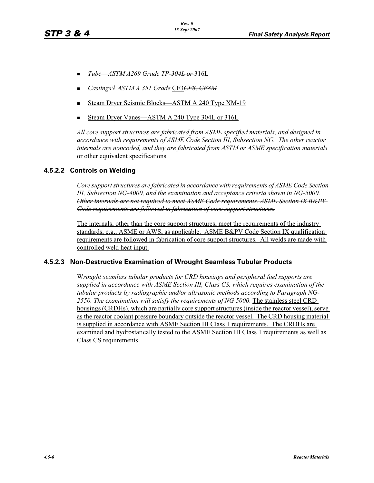- -*Tube*—*ASTM A269 Grade TP-304L or* 316L
- -*Castings— ASTM A 351 Grade* CF3*CF8, CF8M*
- -Steam Dryer Seismic Blocks—ASTM A 240 Type XM-19
- -Steam Dryer Vanes—ASTM A 240 Type 304L or 316L

*All core support structures are fabricated from ASME specified materials, and designed in accordance with requirements of ASME Code Section III, Subsection NG. The other reactor internals are noncoded, and they are fabricated from ASTM or ASME specification materials* or other equivalent specifications.

# **4.5.2.2 Controls on Welding**

*Core support structures are fabricated in accordance with requirements of ASME Code Section III, Subsection NG-4000, and the examination and acceptance criteria shown in NG-5000. Other internals are not required to meet ASME Code requirements. ASME Section IX B&PV Code requirements are followed in fabrication of core support structures.*

The internals, other than the core support structures, meet the requirements of the industry standards, e.g., ASME or AWS, as applicable. ASME B&PV Code Section IX qualification requirements are followed in fabrication of core support structures. All welds are made with controlled weld heat input.

### **4.5.2.3 Non-Destructive Examination of Wrought Seamless Tubular Products**

W*rought seamless tubular products for CRD housings and peripheral fuel supports are supplied in accordance with ASME Section III, Class CS, which requires examination of the tubular products by radiographic and/or ultrasonic methods according to Paragraph NG-2550. The examination will satisfy the requirements of NG 5000*. The stainless steel CRD housings (CRDHs), which are partially core support structures (inside the reactor vessel), serve as the reactor coolant pressure boundary outside the reactor vessel. The CRD housing material is supplied in accordance with ASME Section III Class 1 requirements. The CRDHs are examined and hydrostatically tested to the ASME Section III Class 1 requirements as well as Class CS requirements.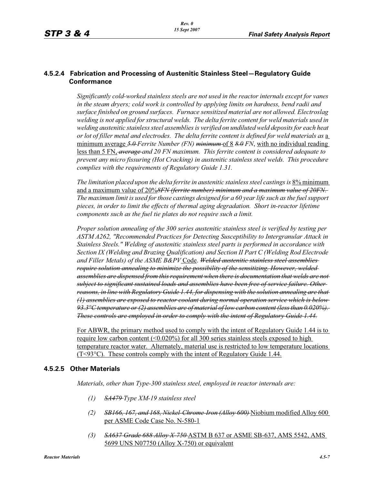# **4.5.2.4 Fabrication and Processing of Austenitic Stainless Steel—Regulatory Guide Conformance**

*Significantly cold-worked stainless steels are not used in the reactor internals except for vanes in the steam dryers; cold work is controlled by applying limits on hardness, bend radii and surface finished on ground surfaces. Furnace sensitized material are not allowed. Electroslag welding is not applied for structural welds. The delta ferrite content for weld materials used in welding austenitic stainless steel assemblies is verified on undiluted weld deposits for each heat or lot of filler metal and electrodes. The delta ferrite content is defined for weld materials as* a minimum average *5.0 Ferrite Number (FN) minimum* of 8 *8.0 FN*, with no individual reading less than 5 FN, *average and 20 FN maximum. This ferrite content is considered adequate to prevent any micro fissuring (Hot Cracking) in austenitic stainless steel welds. This procedure complies with the requirements of Regulatory Guide 1.31.*

*The limitation placed upon the delta ferrite in austenitic stainless steel castings is* 8% minimum and a maximum value of 20%*8FN (ferrite number) minimum and a maximum value of 20FN. The maximum limit is used for those castings designed for a 60 year life such as the fuel support pieces, in order to limit the effects of thermal aging degradation. Short in-reactor lifetime components such as the fuel tie plates do not require such a limit.*

*Proper solution annealing of the 300 series austenitic stainless steel is verified by testing per ASTM A262, "Recommended Practices for Detecting Susceptibility to Intergranular Attack in Stainless Steels." Welding of austenitic stainless steel parts is performed in accordance with Section IX (Welding and Brazing Qualification) and Section II Part C (Welding Rod Electrode and Filler Metals) of the ASME B&PV* Code. *Welded austenitic stainless steel assemblies require solution annealing to minimize the possibility of the sensitizing. However, welded assemblies are dispensed from this requirement when there is documentation that welds are not subject to significant sustained loads and assemblies have been free of service failure. Other reasons, in line with Regulatory Guide 1.44, for dispensing with the solution annealing are that (1) assemblies are exposed to reactor coolant during normal operation service which is below 93.3°C temperature or (2) assemblies are of material of low carbon content (less than 0.020%). These controls are employed in order to comply with the intent of Regulatory Guide 1.44.*

For ABWR, the primary method used to comply with the intent of Regulatory Guide 1.44 is to require low carbon content  $(0.020\%)$  for all 300 series stainless steels exposed to high temperature reactor water. Alternately, material use is restricted to low temperature locations (T<93°C). These controls comply with the intent of Regulatory Guide 1.44.

# **4.5.2.5 Other Materials**

*Materials, other than Type-300 stainless steel, employed in reactor internals are:*

- *(1) SA479 Type XM-19 stainless steel*
- *(2) SB166, 167, and 168, Nickel-Chrome-Iron (Alloy 600)* Niobium modified Alloy 600 per ASME Code Case No. N-580-1
- *(3) SA637 Grade 688 Alloy X-750* ASTM B 637 or ASME SB-637, AMS 5542, AMS 5699 UNS N07750 (Alloy X-750) or equivalent